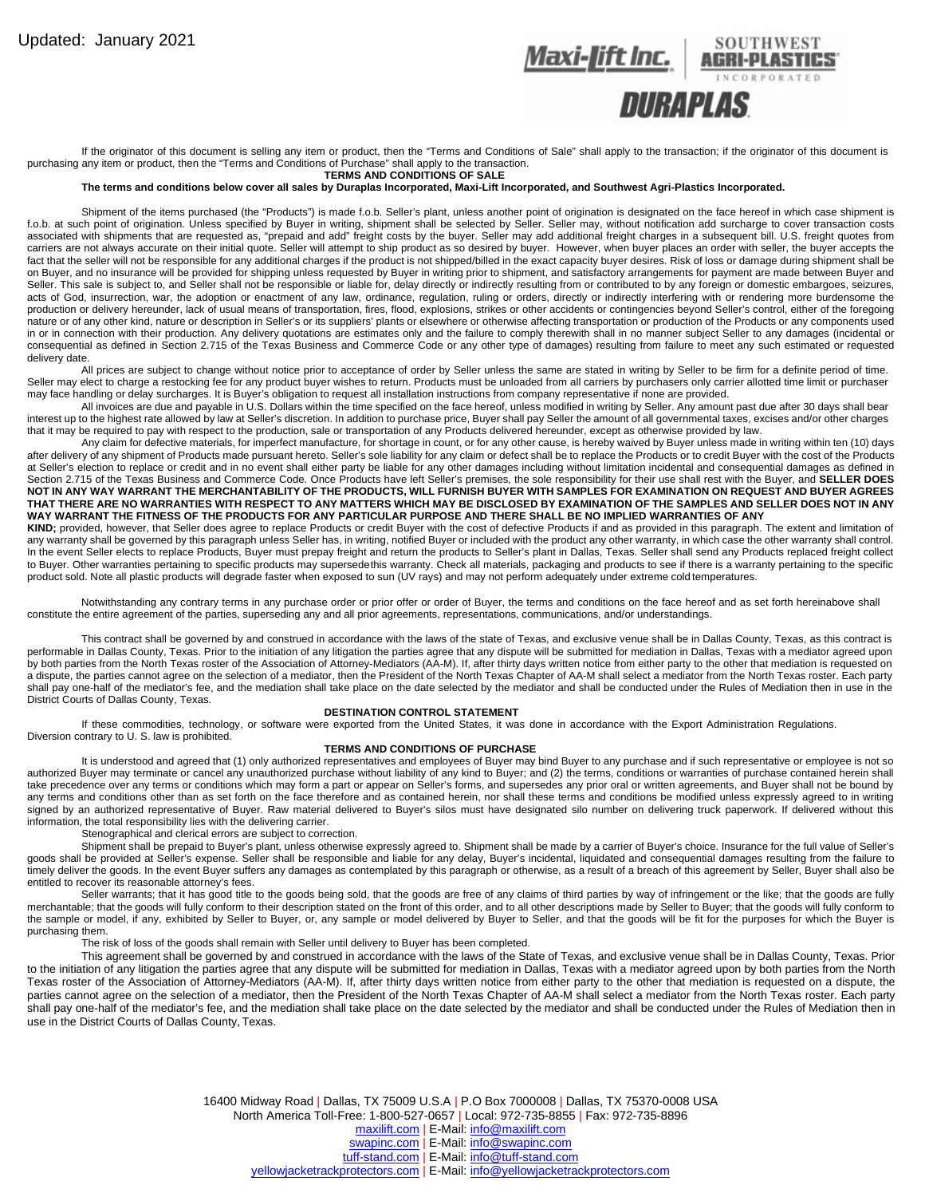

If the originator of this document is selling any item or product, then the "Terms and Conditions of Sale" shall apply to the transaction; if the originator of this document is purchasing any item or product, then the "Terms and Conditions of Purchase" shall apply to the transaction.

## **TERMS AND CONDITIONS OF SALE**

**The terms and conditions below cover all sales by Duraplas Incorporated, Maxi-Lift Incorporated, and Southwest Agri-Plastics Incorporated.**

Shipment of the items purchased (the "Products") is made f.o.b. Seller's plant, unless another point of origination is designated on the face hereof in which case shipment is f.o.b. at such point of origination. Unless specified by Buyer in writing, shipment shall be selected by Seller. Seller may, without notification add surcharge to cover transaction costs associated with shipments that are requested as, "prepaid and add" freight costs by the buyer. Seller may add additional freight charges in a subsequent bill. U.S. freight quotes from carriers are not always accurate on their initial quote. Seller will attempt to ship product as so desired by buyer. However, when buyer places an order with seller, the buyer accepts the fact that the seller will not be responsible for any additional charges if the product is not shipped/billed in the exact capacity buyer desires. Risk of loss or damage during shipment shall be on Buyer, and no insurance will be provided for shipping unless requested by Buyer in writing prior to shipment, and satisfactory arrangements for payment are made between Buyer and Seller. This sale is subject to, and Seller shall not be responsible or liable for, delay directly or indirectly resulting from or contributed to by any foreign or domestic embargoes, seizures, acts of God, insurrection, war, the adoption or enactment of any law, ordinance, regulation, ruling or orders, directly or indirectly interfering with or rendering more burdensome the production or delivery hereunder, lack of usual means of transportation, fires, flood, explosions, strikes or other accidents or contingencies beyond Seller's control, either of the foregoing nature or of any other kind, nature or description in Seller's or its suppliers' plants or elsewhere or otherwise affecting transportation or production of the Products or any components used in or in connection with their production. Any delivery quotations are estimates only and the failure to comply therewith shall in no manner subject Seller to any damages (incidental or consequential as defined in Section 2.715 of the Texas Business and Commerce Code or any other type of damages) resulting from failure to meet any such estimated or requested delivery date.

All prices are subject to change without notice prior to acceptance of order by Seller unless the same are stated in writing by Seller to be firm for a definite period of time. Seller may elect to charge a restocking fee for any product buyer wishes to return. Products must be unloaded from all carriers by purchasers only carrier allotted time limit or purchaser may face handling or delay surcharges. It is Buyer's obligation to request all installation instructions from company representative if none are provided.

All invoices are due and payable in U.S. Dollars within the time specified on the face hereof, unless modified in writing by Seller. Any amount past due after 30 days shall bear interest up to the highest rate allowed by law at Seller's discretion. In addition to purchase price, Buyer shall pay Seller the amount of all governmental taxes, excises and/or other charges that it may be required to pay with respect to the production, sale or transportation of any Products delivered hereunder, except as otherwise provided by law.

Any claim for defective materials, for imperfect manufacture, for shortage in count, or for any other cause, is hereby waived by Buyer unless made in writing within ten (10) days after delivery of any shipment of Products made pursuant hereto. Seller's sole liability for any claim or defect shall be to replace the Products or to credit Buyer with the cost of the Products at Seller's election to replace or credit and in no event shall either party be liable for any other damages including without limitation incidental and consequential damages as defined in Section 2.715 of the Texas Business and Commerce Code. Once Products have left Seller's premises, the sole responsibility for their use shall rest with the Buyer, and **SELLER DOES NOT IN ANY WAY WARRANT THE MERCHANTABILITY OF THE PRODUCTS, WILL FURNISH BUYER WITH SAMPLES FOR EXAMINATION ON REQUEST AND BUYER AGREES THAT THERE ARE NO WARRANTIES WITH RESPECT TO ANY MATTERS WHICH MAY BE DISCLOSED BY EXAMINATION OF THE SAMPLES AND SELLER DOES NOT IN ANY WAY WARRANT THE FITNESS OF THE PRODUCTS FOR ANY PARTICULAR PURPOSE AND THERE SHALL BE NO IMPLIED WARRANTIES OF ANY**

KIND; provided, however, that Seller does agree to replace Products or credit Buyer with the cost of defective Products if and as provided in this paragraph. The extent and limitation of any warranty shall be governed by this paragraph unless Seller has, in writing, notified Buyer or included with the product any other warranty, in which case the other warranty shall control. In the event Seller elects to replace Products, Buyer must prepay freight and return the products to Seller's plant in Dallas, Texas. Seller shall send any Products replaced freight collect to Buyer. Other warranties pertaining to specific products may supersedethis warranty. Check all materials, packaging and products to see if there is a warranty pertaining to the specific product sold. Note all plastic products will degrade faster when exposed to sun (UV rays) and may not perform adequately under extreme cold temperatures.

Notwithstanding any contrary terms in any purchase order or prior offer or order of Buyer, the terms and conditions on the face hereof and as set forth hereinabove shall constitute the entire agreement of the parties, superseding any and all prior agreements, representations, communications, and/or understandings.

This contract shall be governed by and construed in accordance with the laws of the state of Texas, and exclusive venue shall be in Dallas County, Texas, as this contract is performable in Dallas County, Texas. Prior to the initiation of any litigation the parties agree that any dispute will be submitted for mediation in Dallas, Texas with a mediator agreed upon by both parties from the North Texas roster of the Association of Attorney-Mediators (AA-M). If, after thirty days written notice from either party to the other that mediation is requested on a dispute, the parties cannot agree on the selection of a mediator, then the President of the North Texas Chapter of AA-M shall select a mediator from the North Texas roster. Each party shall pay one-half of the mediator's fee, and the mediation shall take place on the date selected by the mediator and shall be conducted under the Rules of Mediation then in use in the District Courts of Dallas County, Texas.

## **DESTINATION CONTROL STATEMENT**

If these commodities, technology, or software were exported from the United States, it was done in accordance with the Export Administration Regulations. Diversion contrary to U. S. law is prohibited.

## **TERMS AND CONDITIONS OF PURCHASE**

It is understood and agreed that (1) only authorized representatives and employees of Buyer may bind Buyer to any purchase and if such representative or employee is not so authorized Buyer may terminate or cancel any unauthorized purchase without liability of any kind to Buyer; and (2) the terms, conditions or warranties of purchase contained herein shall take precedence over any terms or conditions which may form a part or appear on Seller's forms, and supersedes any prior oral or written agreements, and Buyer shall not be bound by any terms and conditions other than as set forth on the face therefore and as contained herein, nor shall these terms and conditions be modified unless expressly agreed to in writing signed by an authorized representative of Buyer. Raw material delivered to Buyer's silos must have designated silo number on delivering truck paperwork. If delivered without this information, the total responsibility lies with the delivering carrier.

Stenographical and clerical errors are subject to correction.

Shipment shall be prepaid to Buyer's plant, unless otherwise expressly agreed to. Shipment shall be made by a carrier of Buyer's choice. Insurance for the full value of Seller's goods shall be provided at Seller's expense. Seller shall be responsible and liable for any delay, Buyer's incidental, liquidated and consequential damages resulting from the failure to timely deliver the goods. In the event Buyer suffers any damages as contemplated by this paragraph or otherwise, as a result of a breach of this agreement by Seller, Buyer shall also be entitled to recover its reasonable attorney's fees.

Seller warrants; that it has good title to the goods being sold, that the goods are free of any claims of third parties by way of infringement or the like; that the goods are fully merchantable; that the goods will fully conform to their description stated on the front of this order, and to all other descriptions made by Seller to Buyer; that the goods will fully conform to the sample or model, if any, exhibited by Seller to Buyer, or, any sample or model delivered by Buyer to Seller, and that the goods will be fit for the purposes for which the Buyer is purchasing them.

The risk of loss of the goods shall remain with Seller until delivery to Buyer has been completed.

This agreement shall be governed by and construed in accordance with the laws of the State of Texas, and exclusive venue shall be in Dallas County, Texas. Prior to the initiation of any litigation the parties agree that any dispute will be submitted for mediation in Dallas, Texas with a mediator agreed upon by both parties from the North Texas roster of the Association of Attorney-Mediators (AA-M). If, after thirty days written notice from either party to the other that mediation is requested on a dispute, the parties cannot agree on the selection of a mediator, then the President of the North Texas Chapter of AA-M shall select a mediator from the North Texas roster. Each party shall pay one-half of the mediator's fee, and the mediation shall take place on the date selected by the mediator and shall be conducted under the Rules of Mediation then in use in the District Courts of Dallas County, Texas.

16400 Midway Road | Dallas, TX 75009 U.S.A | P.O Box 7000008 | Dallas, TX 75370-0008 USA

North America Toll-Free: 1-800-527-0657 | Local: 972-735-8855 | Fax: 972-735-8896

[maxilift.com](http://www.maxilift.com/) | E-Mail[: info@maxilift.com](mailto:info@maxilift.com)

[swapinc.com](http://www.swapinc.com/) | E-Mail[: info@swapinc.com](mailto:info@swapinc.com)

[tuff-stand.com](http://www.tuff-stand.com/) | E-Mail[: info@tuff-stand.com](mailto:info@tuff-stand.com)

[yellowjacketrackprotectors.com](http://www.yellowjacketrackprotectors.com/) | E-Mail[: info@yellowjacketrackprotectors.com](mailto:info@yellowjacketrackprotectors.com)